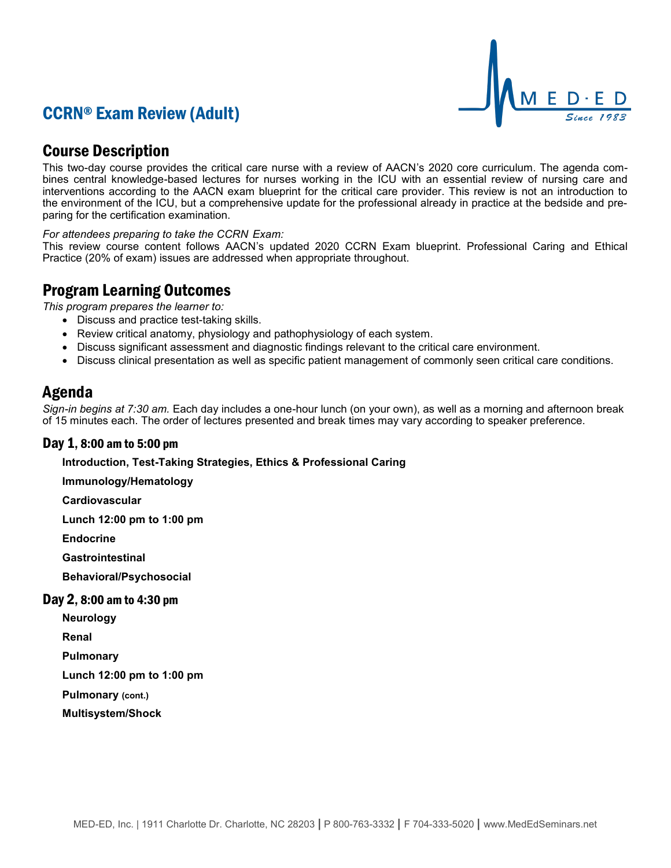# CCRN® Exam Review (Adult)



## Course Description

This two-day course provides the critical care nurse with a review of AACN's 2020 core curriculum. The agenda combines central knowledge-based lectures for nurses working in the ICU with an essential review of nursing care and interventions according to the AACN exam blueprint for the critical care provider. This review is not an introduction to the environment of the ICU, but a comprehensive update for the professional already in practice at the bedside and preparing for the certification examination.

*For attendees preparing to take the CCRN Exam:*

This review course content follows AACN's updated 2020 CCRN Exam blueprint. Professional Caring and Ethical Practice (20% of exam) issues are addressed when appropriate throughout.

## Program Learning Outcomes

*This program prepares the learner to:*

- Discuss and practice test-taking skills.
- Review critical anatomy, physiology and pathophysiology of each system.
- Discuss significant assessment and diagnostic findings relevant to the critical care environment.
- Discuss clinical presentation as well as specific patient management of commonly seen critical care conditions.

### Agenda

*Sign-in begins at 7:30 am.* Each day includes a one-hour lunch (on your own), as well as a morning and afternoon break of 15 minutes each. The order of lectures presented and break times may vary according to speaker preference.

### Day 1, 8:00 am to 5:00 pm

**Introduction, Test-Taking Strategies, Ethics & Professional Caring**

**Immunology/Hematology**

**Cardiovascular**

**Lunch 12:00 pm to 1:00 pm**

**Endocrine**

**Gastrointestinal**

**Behavioral/Psychosocial**

#### Day 2, 8:00 am to 4:30 pm

**Neurology**

**Renal**

**Pulmonary**

**Lunch 12:00 pm to 1:00 pm**

**Pulmonary (cont.)**

**Multisystem/Shock**